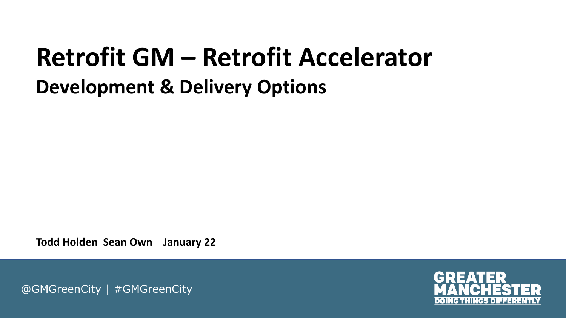### **Retrofit GM – Retrofit Accelerator Development & Delivery Options**

**Todd Holden Sean Own January 22**

@GMGreenCity | #GMGreenCity

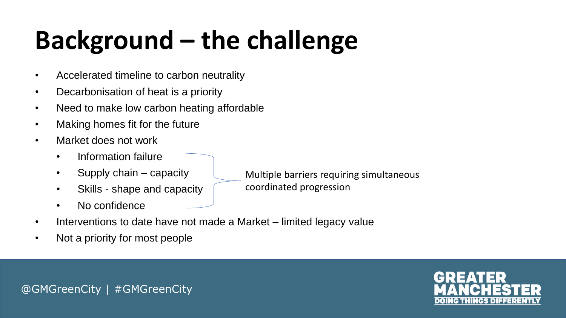# **Background – the challenge**

- Accelerated timeline to carbon neutrality
- Decarbonisation of heat is a priority
- Need to make low carbon heating affordable
- Making homes fit for the future
- Market does not work
	- Information failure
	- Supply chain capacity
	- Skills shape and capacity
	- No confidence
- Multiple barriers requiring simultaneous coordinated progression
- Interventions to date have not made a Market limited legacy value
- Not a priority for most people

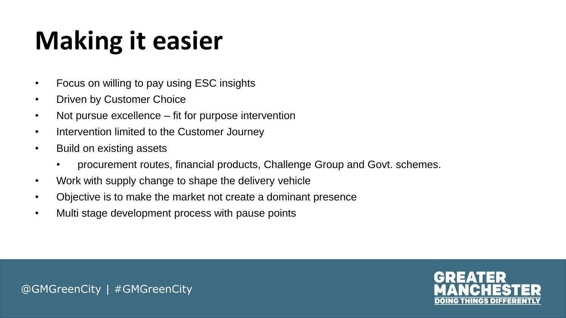# **Making it easier**

- Focus on willing to pay using ESC insights
- **Driven by Customer Choice**
- Not pursue excellence fit for purpose intervention
- Intervention limited to the Customer Journey
- Build on existing assets
	- procurement routes, financial products, Challenge Group and Govt. schemes.
- Work with supply change to shape the delivery vehicle
- Objective is to make the market not create a dominant presence
- Multi stage development process with pause points

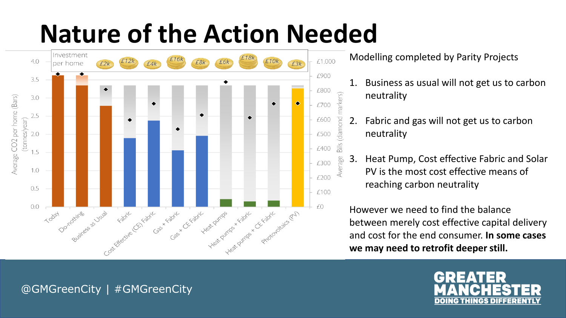## **Nature of the Action Needed**



Modelling completed by Parity Projects

markers)

Average

- 1. Business as usual will not get us to carbon neutrality
- 2. Fabric and gas will not get us to carbon neutrality
- 3. Heat Pump, Cost effective Fabric and Solar PV is the most cost effective means of reaching carbon neutrality

However we need to find the balance between merely cost effective capital delivery and cost for the end consumer. **In some cases we may need to retrofit deeper still.**

#### @GMGreenCity | #GMGreenCity

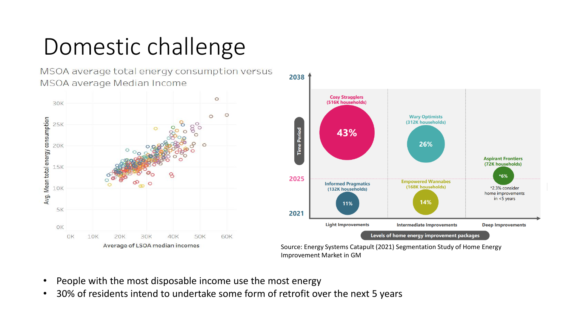### Domestic challenge

MSOA average total energy consumption versus MSOA average Median Income





Source: Energy Systems Catapult (2021) Segmentation Study of Home Energy Improvement Market in GM

- People with the most disposable income use the most energy
- 30% of residents intend to undertake some form of retrofit over the next 5 years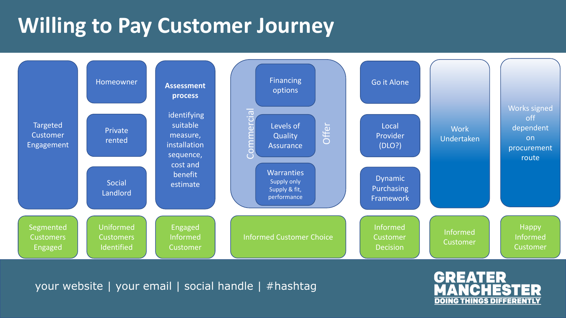### **Willing to Pay Customer Journey**



your website | your email | social handle | #hashtag

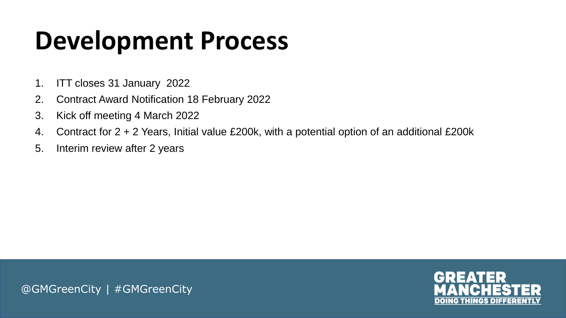### **Development Process**

- 1. ITT closes 31 January 2022
- 2. Contract Award Notification 18 February 2022
- 3. Kick off meeting 4 March 2022
- 4. Contract for 2 + 2 Years, Initial value £200k, with a potential option of an additional £200k
- 5. Interim review after 2 years